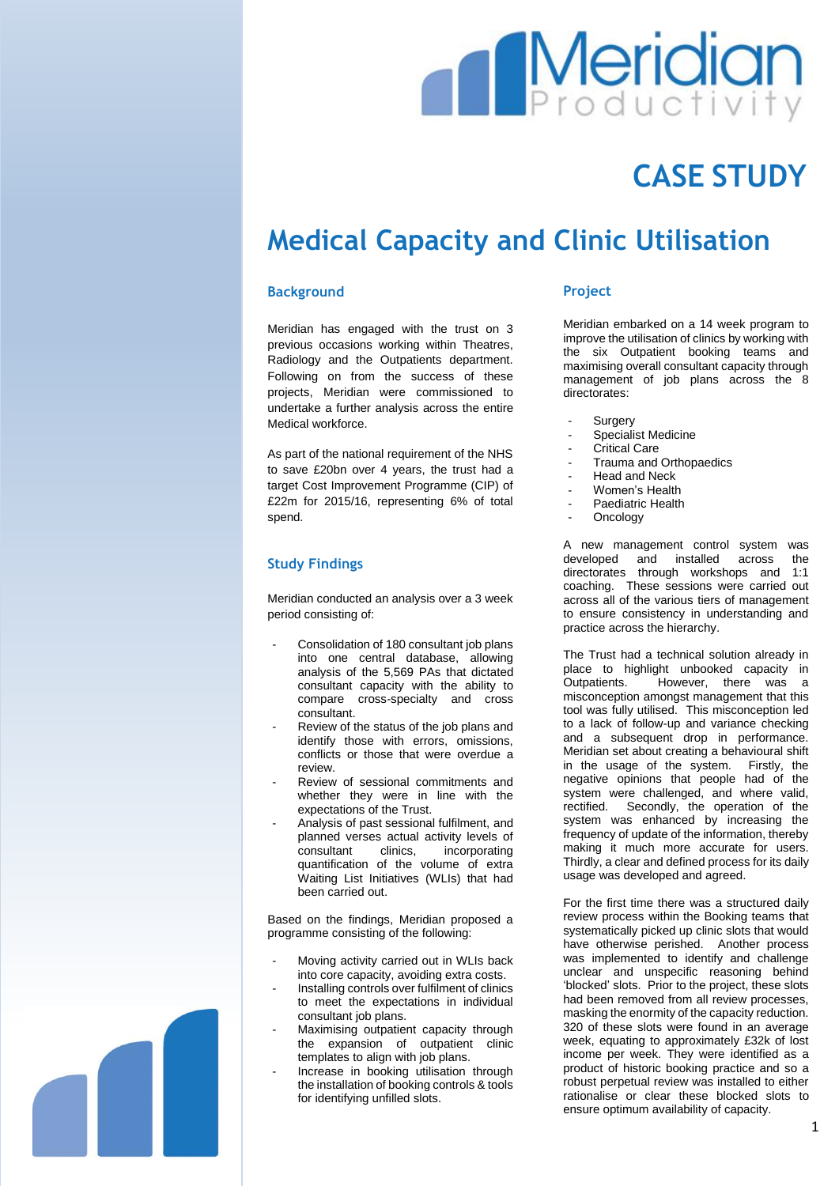

# **CASE STUDY**

## **Medical Capacity and Clinic Utilisation**

#### **Background**

Meridian has engaged with the trust on 3 previous occasions working within Theatres, Radiology and the Outpatients department. Following on from the success of these projects, Meridian were commissioned to undertake a further analysis across the entire Medical workforce.

As part of the national requirement of the NHS to save £20bn over 4 years, the trust had a target Cost Improvement Programme (CIP) of £22m for 2015/16, representing 6% of total spend.

## **Study Findings**

Meridian conducted an analysis over a 3 week period consisting of:

- Consolidation of 180 consultant job plans into one central database, allowing analysis of the 5,569 PAs that dictated consultant capacity with the ability to compare cross-specialty and cross consultant.
- Review of the status of the job plans and identify those with errors, omissions, conflicts or those that were overdue a review.
- Review of sessional commitments and whether they were in line with the expectations of the Trust.
- Analysis of past sessional fulfilment, and planned verses actual activity levels of consultant clinics, incorporating quantification of the volume of extra Waiting List Initiatives (WLIs) that had been carried out.

Based on the findings, Meridian proposed a programme consisting of the following:

- Moving activity carried out in WLIs back into core capacity, avoiding extra costs.
- Installing controls over fulfilment of clinics to meet the expectations in individual consultant job plans.
- Maximising outpatient capacity through the expansion of outpatient clinic templates to align with job plans.
- Increase in booking utilisation through the installation of booking controls & tools for identifying unfilled slots.

#### **Project**

Meridian embarked on a 14 week program to improve the utilisation of clinics by working with the six Outpatient booking teams and maximising overall consultant capacity through management of job plans across the 8 directorates:

- **Surgery**
- Specialist Medicine
- Critical Care
- Trauma and Orthopaedics
- Head and Neck
- Women's Health
- Paediatric Health
- **Oncology**

A new management control system was developed and installed across the directorates through workshops and 1:1 coaching. These sessions were carried out across all of the various tiers of management to ensure consistency in understanding and practice across the hierarchy.

The Trust had a technical solution already in place to highlight unbooked capacity in Outpatients. However, there was a misconception amongst management that this tool was fully utilised. This misconception led to a lack of follow-up and variance checking and a subsequent drop in performance. Meridian set about creating a behavioural shift in the usage of the system. Firstly, the negative opinions that people had of the system were challenged, and where valid, rectified. Secondly, the operation of the system was enhanced by increasing the frequency of update of the information, thereby making it much more accurate for users. Thirdly, a clear and defined process for its daily usage was developed and agreed.

For the first time there was a structured daily review process within the Booking teams that systematically picked up clinic slots that would have otherwise perished. Another process was implemented to identify and challenge unclear and unspecific reasoning behind 'blocked' slots. Prior to the project, these slots had been removed from all review processes, masking the enormity of the capacity reduction. 320 of these slots were found in an average week, equating to approximately £32k of lost income per week. They were identified as a product of historic booking practice and so a robust perpetual review was installed to either rationalise or clear these blocked slots to ensure optimum availability of capacity.